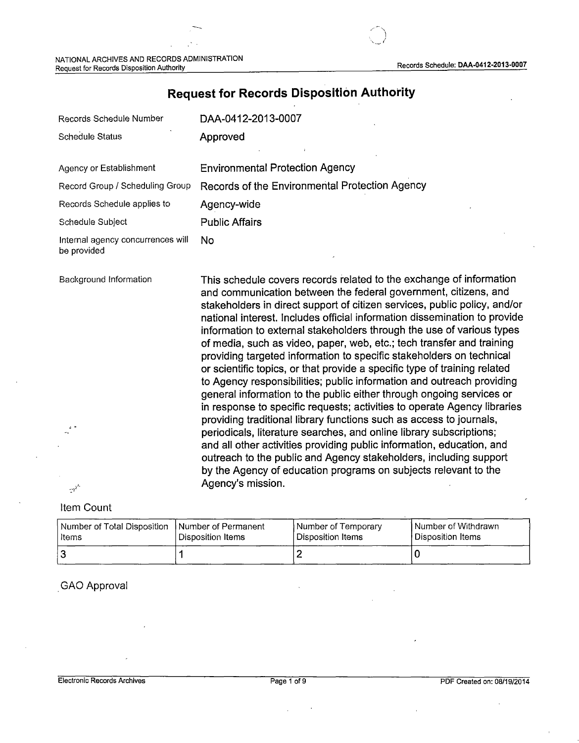$\bigcap$ (

| Records Schedule Number                          | DAA-0412-2013-0007                                                                                                     |
|--------------------------------------------------|------------------------------------------------------------------------------------------------------------------------|
| <b>Schedule Status</b>                           | Approved                                                                                                               |
| Agency or Establishment                          | <b>Environmental Protection Agency</b>                                                                                 |
| Record Group / Scheduling Group                  | Records of the Environmental Protection Agency                                                                         |
| Records Schedule applies to                      | Agency-wide                                                                                                            |
| Schedule Subject                                 | <b>Public Affairs</b>                                                                                                  |
| Internal agency concurrences will<br>be provided | No.                                                                                                                    |
| Background Information                           | This schedule covers records related to the exchange of in<br>and communication between the federal government, citize |

# **Request for Records Disposition Authority**

hformation and communication between the federal government, citizens, and stakeholders in direct support of citizen services, public policy, and/or national interest. Includes official information dissemination to provide information to external stakeholders through the use of various types of media, such as video, paper, web, etc.; tech transfer and training providing targeted information to specific stakeholders on technical or scientific topics, or that provide a specific type of training related to Agency responsibilities; public information and outreach providing general information to the public either through ongoing services or in response to specific requests; activities to operate Agency libraries providing traditional library functions such as access to journals, periodicals, literature searches, and online library subscriptions; and all other activities providing public information, education, and outreach to the public and Agency stakeholders, including support by the Agency of education programs on subjects relevant to the Agency's mission.

## Item Count

'.

أنوب

| Number of Total Disposition | Number of Permanent | Number of Temporary | I Number of Withdrawn |
|-----------------------------|---------------------|---------------------|-----------------------|
| l Items                     | Disposition Items   | Disposition Items   | Disposition Items     |
|                             |                     |                     |                       |

## . GAO Approval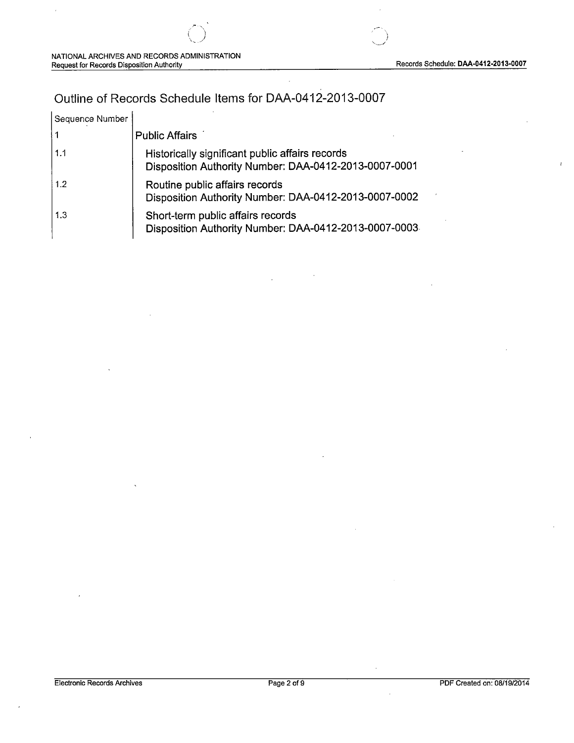# Outline of Records Schedule Items for DAA-0412-2013-0007

/--~  $($  $\bigcirc$  .

| Sequence Number   |                                                                                                          |
|-------------------|----------------------------------------------------------------------------------------------------------|
|                   | <b>Public Affairs</b>                                                                                    |
| 1.1               | Historically significant public affairs records<br>Disposition Authority Number: DAA-0412-2013-0007-0001 |
| 1.2               | Routine public affairs records<br>Disposition Authority Number: DAA-0412-2013-0007-0002                  |
| $\vert 1.3 \vert$ | Short-term public affairs records<br>Disposition Authority Number: DAA-0412-2013-0007-0003               |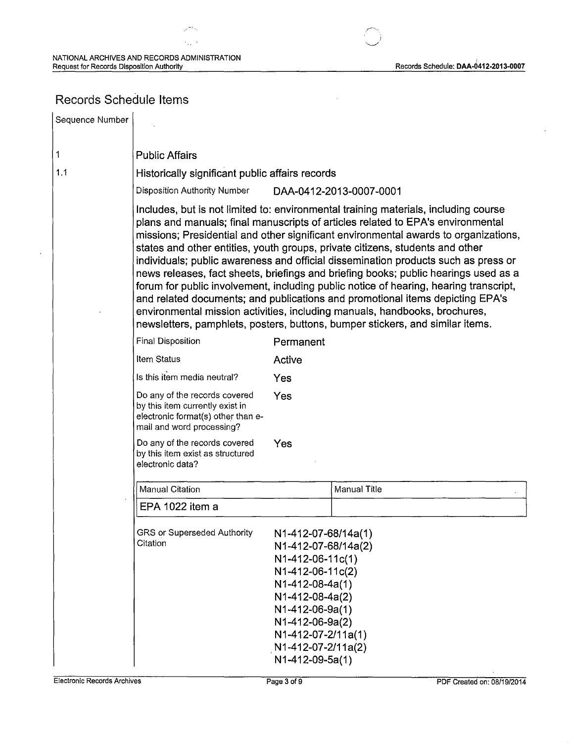Records Schedule: DAA-0412-2013-0007

# Records Schedule Items

Sequence Number  $\mathbf{1}$ Public Affairs 1.1 Historically significant public affairs records Disposition Authority Number DAA-0412-2013-0007 -0001 Includes, but is not limited to: environmental training materials, including course plans and manuals; final manuscripts of articles related to EPA's environmental missions; Presidential and other significant environmental awards to organizations, states and other entities, youth groups, private citizens, students and other individuals; public awareness and official dissemination products such as press or news releases, fact sheets, briefings and briefing books; public hearings used as a forum for public involvement, including public notice of hearing, hearing transcript, and related documents; and publications and promotional items depicting EPA's environmental mission activities, including manuals, handbooks, brochures, newsletters, pamphlets, posters, buttons, bumper stickers, and similar items. Final Disposition **Permanent** Item Status **Active** Is this item media neutral? Yes Do any of the records covered Yes by this item currently exist in electronic format(s) other than email and word processing? Do any of the records covered Yes by this item exist as structured electronic data? Manual Citation **Manual Title** EPA 1022 item a GRS or Superseded Authority N1-412-07-68/14a(1) Citation N 1-412-07 -68/14a(2) N1-412-06-11c(1) N1-412-06-11c(2) N1-412-08-4a(1) N1-412-08-4a(2) N1-412-06-9a(1) N 1-412-06-9a(2) N1-412-07-2/11 a(1) . N1-412-07-2/11a(2) N1-412-09-5a(1)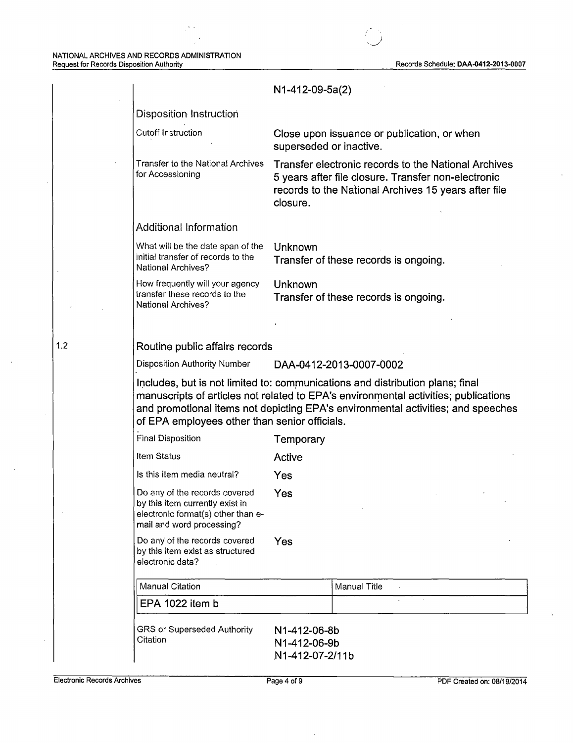$\rightarrow$ 

|                                                                                                                                     | N1-412-09-5a(2)                                                                                                                                                                                                                                          |  |  |
|-------------------------------------------------------------------------------------------------------------------------------------|----------------------------------------------------------------------------------------------------------------------------------------------------------------------------------------------------------------------------------------------------------|--|--|
| <b>Disposition Instruction</b>                                                                                                      |                                                                                                                                                                                                                                                          |  |  |
| Cutoff Instruction                                                                                                                  | Close upon issuance or publication, or when<br>superseded or inactive.                                                                                                                                                                                   |  |  |
| <b>Transfer to the National Archives</b><br>for Accessioning                                                                        | Transfer electronic records to the National Archives<br>5 years after file closure. Transfer non-electronic<br>records to the National Archives 15 years after file<br>closure.                                                                          |  |  |
| <b>Additional Information</b>                                                                                                       |                                                                                                                                                                                                                                                          |  |  |
| What will be the date span of the<br>initial transfer of records to the<br><b>National Archives?</b>                                | Unknown<br>Transfer of these records is ongoing.                                                                                                                                                                                                         |  |  |
| How frequently will your agency<br>transfer these records to the<br><b>National Archives?</b>                                       | Unknown<br>Transfer of these records is ongoing.                                                                                                                                                                                                         |  |  |
|                                                                                                                                     |                                                                                                                                                                                                                                                          |  |  |
| Routine public affairs records                                                                                                      |                                                                                                                                                                                                                                                          |  |  |
| Disposition Authority Number                                                                                                        | DAA-0412-2013-0007-0002                                                                                                                                                                                                                                  |  |  |
| of EPA employees other than senior officials.                                                                                       | Includes, but is not limited to: communications and distribution plans; final<br>manuscripts of articles not related to EPA's environmental activities; publications<br>and promotional items not depicting EPA's environmental activities; and speeches |  |  |
| <b>Final Disposition</b>                                                                                                            | Temporary                                                                                                                                                                                                                                                |  |  |
| Item Status                                                                                                                         | Active                                                                                                                                                                                                                                                   |  |  |
| Is this item media neutral?                                                                                                         | Yes                                                                                                                                                                                                                                                      |  |  |
| Do any of the records covered<br>by this item currently exist in<br>electronic format(s) other than e-<br>mail and word processing? | Yes                                                                                                                                                                                                                                                      |  |  |
|                                                                                                                                     |                                                                                                                                                                                                                                                          |  |  |
| Do any of the records covered<br>by this item exist as structured<br>electronic data?                                               | Yes                                                                                                                                                                                                                                                      |  |  |
| <b>Manual Citation</b>                                                                                                              | Manual Title<br>$\Delta$                                                                                                                                                                                                                                 |  |  |
| EPA 1022 item b                                                                                                                     |                                                                                                                                                                                                                                                          |  |  |

1.2

 $\overline{ }$ 

ţ.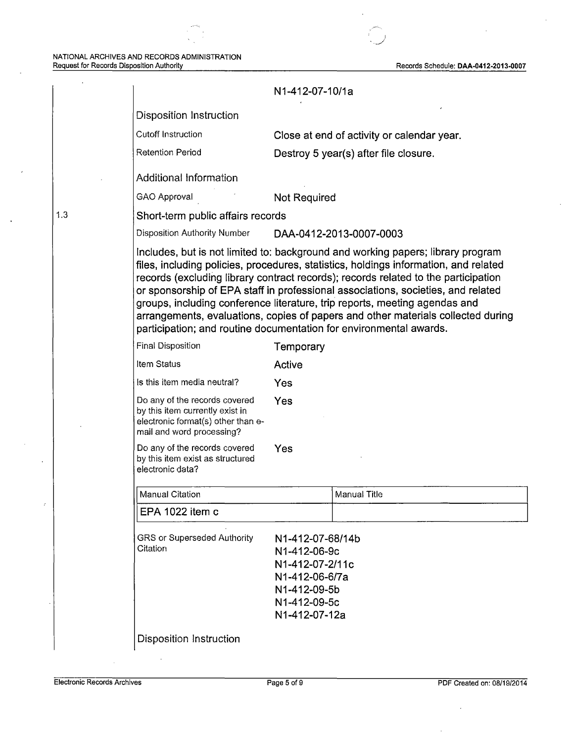#### NATIONAL ARCHIVES AND RECORDS ADMINISTRATION Request for Records Disposition Authority Records Schedule: DAA-0412-2013-0007

1.3

 $\ddot{\phantom{a}}$ 

 $\bar{z}$ 

 $\epsilon$ 

 $\ddot{\phantom{a}}$ 

 $\ddot{\phantom{a}}$ 

J *'\_j* 

|                                                                                                                                     | N1-412-07-10/1a                                                                                                                                                                                                                                                                                                                                                                                                                                                                                                                                                                           |  |
|-------------------------------------------------------------------------------------------------------------------------------------|-------------------------------------------------------------------------------------------------------------------------------------------------------------------------------------------------------------------------------------------------------------------------------------------------------------------------------------------------------------------------------------------------------------------------------------------------------------------------------------------------------------------------------------------------------------------------------------------|--|
| <b>Disposition Instruction</b>                                                                                                      |                                                                                                                                                                                                                                                                                                                                                                                                                                                                                                                                                                                           |  |
| Cutoff Instruction                                                                                                                  | Close at end of activity or calendar year.                                                                                                                                                                                                                                                                                                                                                                                                                                                                                                                                                |  |
| <b>Retention Period</b>                                                                                                             | Destroy 5 year(s) after file closure.                                                                                                                                                                                                                                                                                                                                                                                                                                                                                                                                                     |  |
| Additional Information                                                                                                              |                                                                                                                                                                                                                                                                                                                                                                                                                                                                                                                                                                                           |  |
| <b>GAO Approval</b>                                                                                                                 | <b>Not Required</b>                                                                                                                                                                                                                                                                                                                                                                                                                                                                                                                                                                       |  |
| Short-term public affairs records                                                                                                   |                                                                                                                                                                                                                                                                                                                                                                                                                                                                                                                                                                                           |  |
| Disposition Authority Number                                                                                                        | DAA-0412-2013-0007-0003                                                                                                                                                                                                                                                                                                                                                                                                                                                                                                                                                                   |  |
|                                                                                                                                     | Includes, but is not limited to: background and working papers; library program<br>files, including policies, procedures, statistics, holdings information, and related<br>records (excluding library contract records); records related to the participation<br>or sponsorship of EPA staff in professional associations, societies, and related<br>groups, including conference literature, trip reports, meeting agendas and<br>arrangements, evaluations, copies of papers and other materials collected during<br>participation; and routine documentation for environmental awards. |  |
| <b>Final Disposition</b>                                                                                                            | Temporary                                                                                                                                                                                                                                                                                                                                                                                                                                                                                                                                                                                 |  |
| Item Status                                                                                                                         | Active                                                                                                                                                                                                                                                                                                                                                                                                                                                                                                                                                                                    |  |
| Is this item media neutral?                                                                                                         | Yes                                                                                                                                                                                                                                                                                                                                                                                                                                                                                                                                                                                       |  |
| Do any of the records covered<br>by this item currently exist in<br>electronic format(s) other than e-<br>mail and word processing? | Yes                                                                                                                                                                                                                                                                                                                                                                                                                                                                                                                                                                                       |  |
| Do any of the records covered<br>by this item exist as structured<br>electronic data?                                               | Yes                                                                                                                                                                                                                                                                                                                                                                                                                                                                                                                                                                                       |  |
| <b>Manual Citation</b>                                                                                                              | <b>Manual Title</b>                                                                                                                                                                                                                                                                                                                                                                                                                                                                                                                                                                       |  |
| EPA 1022 item c                                                                                                                     |                                                                                                                                                                                                                                                                                                                                                                                                                                                                                                                                                                                           |  |
| GRS or Superseded Authority<br>Citation                                                                                             | N1-412-07-68/14b<br>N1-412-06-9c<br>N1-412-07-2/11c<br>N1-412-06-6/7a<br>N1-412-09-5b<br>N1-412-09-5c<br>N1-412-07-12a                                                                                                                                                                                                                                                                                                                                                                                                                                                                    |  |
| <b>Disposition Instruction</b>                                                                                                      |                                                                                                                                                                                                                                                                                                                                                                                                                                                                                                                                                                                           |  |

 $\bar{z}$ 

 $\bar{z}$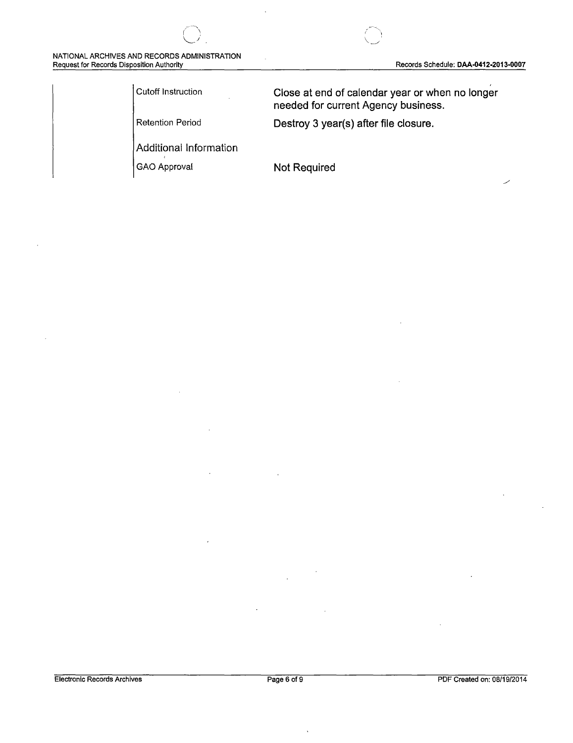### NATIONAL ARCHIVES AND RECORDS ADMINISTRATION Request for Records Disposition Authority **Request for Records Schedule: DAA-0412-2013-0007**

Additional Information

Cutoff Instruction **Close at end of calendar year or when no longer needed for current Agency business.** 

Retention Period **Destroy 3 year(s) after file closure.** 

GAO Approval **Not Required**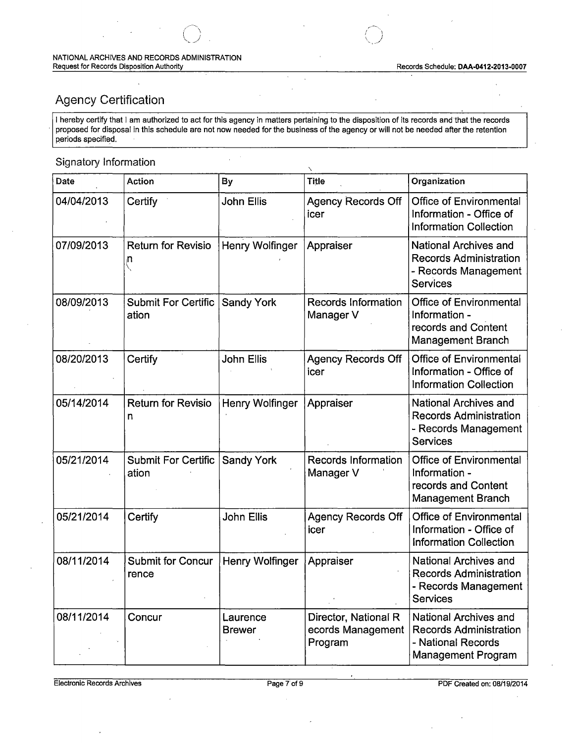# Agency Certification

I hereby certify that I am authorized to act for this agency in matters pertaining to the disposition of its records and that the records proposed for disposal in this schedule are not now needed for the business of the agency or will not be needed after the retention periods specified.

 $\ddot{\phantom{a}}$ 

## Signatory Information

| Date       | <b>Action</b>                       | By                        | <b>Title</b>                                         | Organization                                                                                              |
|------------|-------------------------------------|---------------------------|------------------------------------------------------|-----------------------------------------------------------------------------------------------------------|
| 04/04/2013 | Certify                             | <b>John Ellis</b>         | <b>Agency Records Off</b><br>icer                    | <b>Office of Environmental</b><br>Information - Office of<br><b>Information Collection</b>                |
| 07/09/2013 | <b>Return for Revisio</b><br>п      | Henry Wolfinger           | Appraiser                                            | <b>National Archives and</b><br><b>Records Administration</b><br>- Records Management<br><b>Services</b>  |
| 08/09/2013 | <b>Submit For Certific</b><br>ation | <b>Sandy York</b>         | <b>Records Information</b><br>Manager V              | <b>Office of Environmental</b><br>Information -<br>records and Content<br>Management Branch               |
| 08/20/2013 | Certify                             | John Ellis                | <b>Agency Records Off</b><br>icer                    | <b>Office of Environmental</b><br>Information - Office of<br><b>Information Collection</b>                |
| 05/14/2014 | <b>Return for Revisio</b><br>n      | Henry Wolfinger           | Appraiser                                            | National Archives and<br><b>Records Administration</b><br>- Records Management<br>Services                |
| 05/21/2014 | <b>Submit For Certific</b><br>ation | <b>Sandy York</b>         | <b>Records Information</b><br>Manager V              | <b>Office of Environmental</b><br>Information -<br>records and Content<br><b>Management Branch</b>        |
| 05/21/2014 | Certify                             | John Ellis                | <b>Agency Records Off</b><br>icer                    | <b>Office of Environmental</b><br>Information - Office of<br><b>Information Collection</b>                |
| 08/11/2014 | <b>Submit for Concur</b><br>rence   | Henry Wolfinger           | Appraiser                                            | National Archives and<br><b>Records Administration</b><br>- Records Management<br><b>Services</b>         |
| 08/11/2014 | Concur                              | Laurence<br><b>Brewer</b> | Director, National R<br>ecords Management<br>Program | National Archives and<br><b>Records Administration</b><br>- National Records<br><b>Management Program</b> |

Electronic Records Archives Page 7 of 9 PDF Created on: 08/19/2014